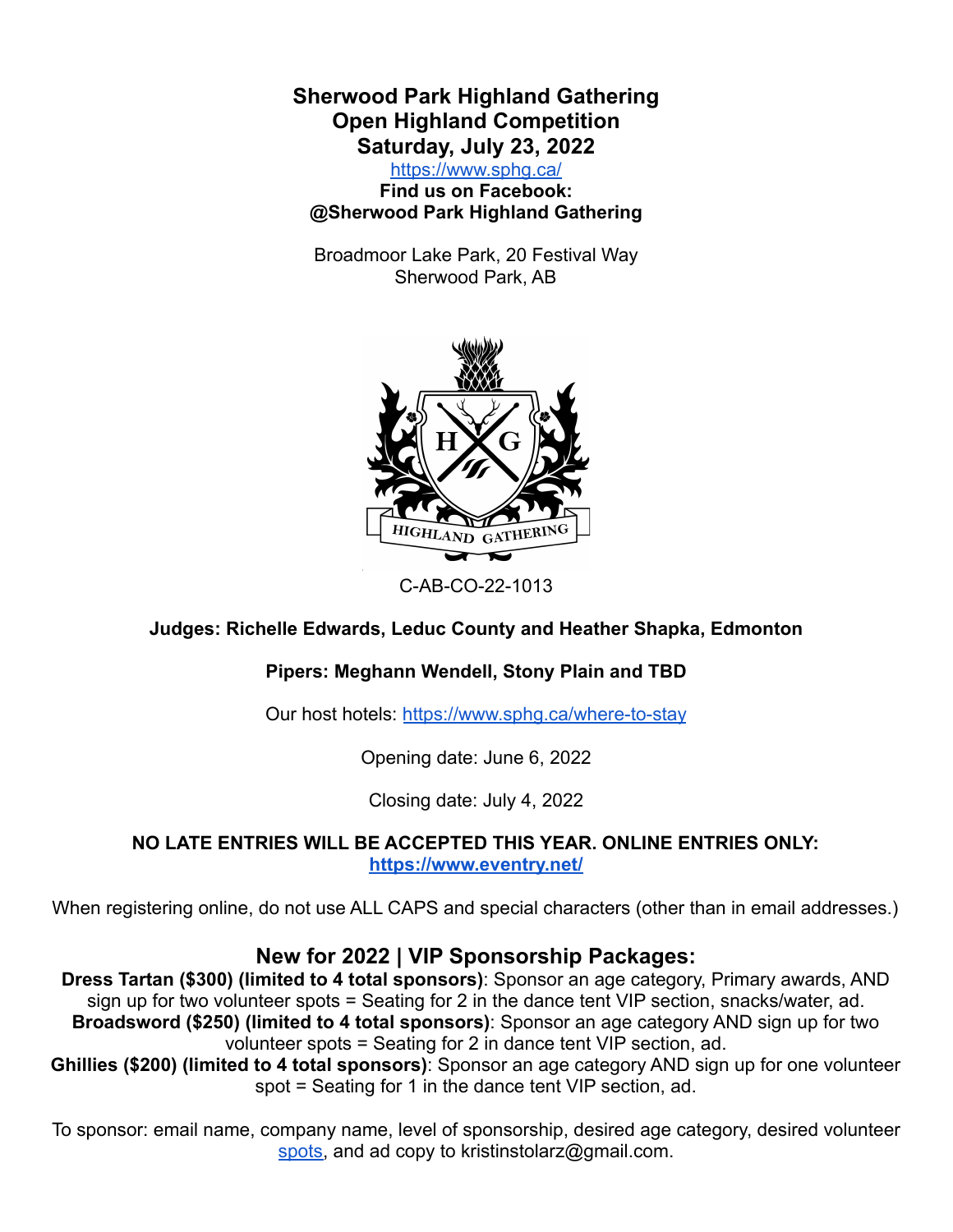**Sherwood Park Highland Gathering Open Highland Competition Saturday, July 23, 2022**

<https://www.sphg.ca/> **Find us on Facebook: @Sherwood Park Highland Gathering**

Broadmoor Lake Park, 20 Festival Way Sherwood Park, AB



C-AB-CO-22-1013

# **Judges: Richelle Edwards, Leduc County and Heather Shapka, Edmonton**

# **Pipers: Meghann Wendell, Stony Plain and TBD**

Our host hotels: <https://www.sphg.ca/where-to-stay>

Opening date: June 6, 2022

Closing date: July 4, 2022

**NO LATE ENTRIES WILL BE ACCEPTED THIS YEAR. ONLINE ENTRIES ONLY: <https://www.eventry.net/>**

When registering online, do not use ALL CAPS and special characters (other than in email addresses.)

# **New for 2022 | VIP Sponsorship Packages:**

**Dress Tartan (\$300) (limited to 4 total sponsors)**: Sponsor an age category, Primary awards, AND sign up for two volunteer spots = Seating for 2 in the dance tent VIP section, snacks/water, ad. **Broadsword (\$250) (limited to 4 total sponsors)**: Sponsor an age category AND sign up for two volunteer spots = Seating for 2 in dance tent VIP section, ad.

**Ghillies (\$200) (limited to 4 total sponsors)**: Sponsor an age category AND sign up for one volunteer spot = Seating for 1 in the dance tent VIP section, ad.

To sponsor: email name, company name, level of sponsorship, desired age category, desired volunteer [spots,](https://signup.com/client/invitation2/secure/506983014013398062/false#/invitation) and ad copy to kristinstolarz@gmail.com.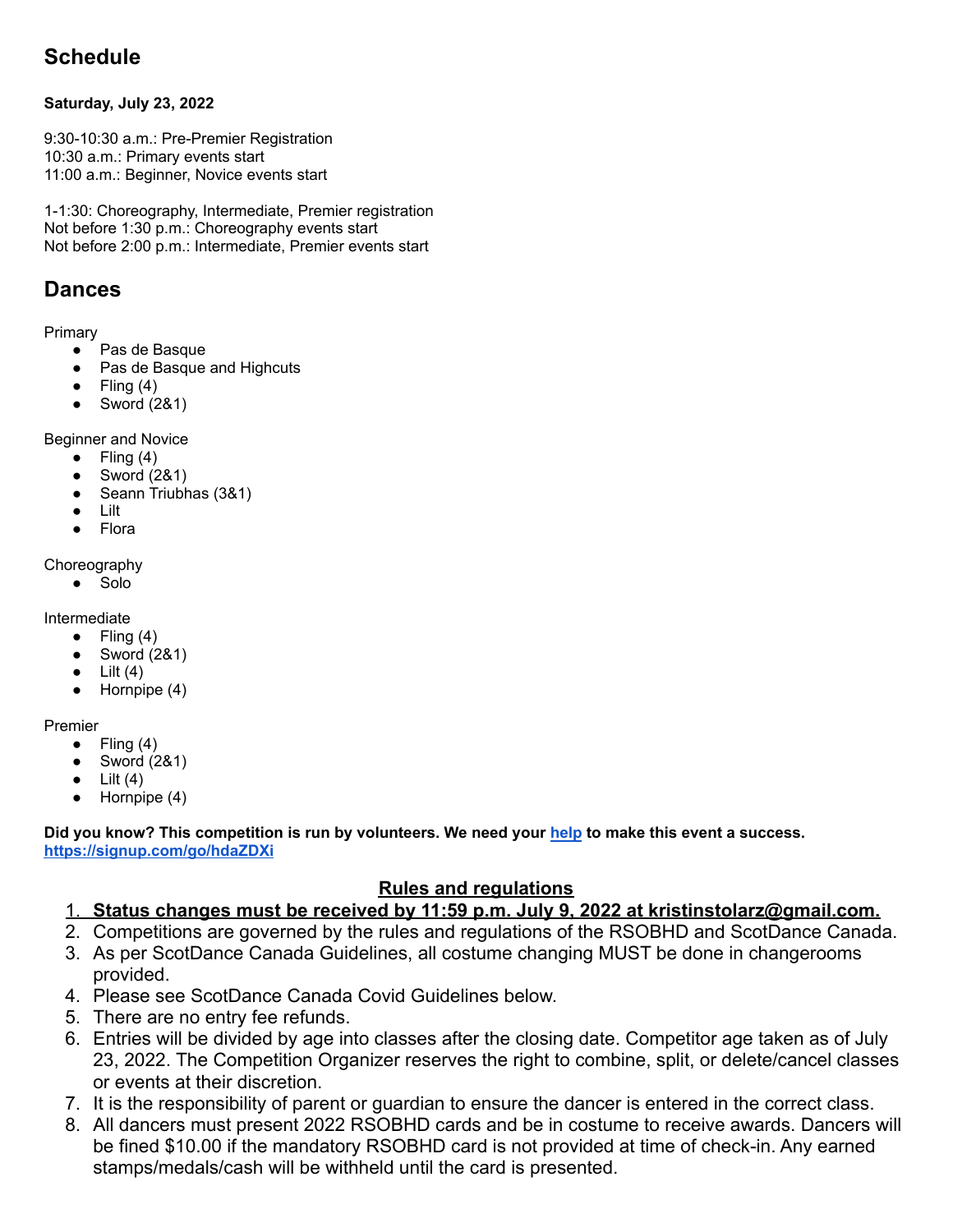# **Schedule**

#### **Saturday, July 23, 2022**

9:30-10:30 a.m.: Pre-Premier Registration 10:30 a.m.: Primary events start 11:00 a.m.: Beginner, Novice events start

1-1:30: Choreography, Intermediate, Premier registration Not before 1:30 p.m.: Choreography events start Not before 2:00 p.m.: Intermediate, Premier events start

# **Dances**

Primary

- Pas de Basque
- Pas de Basque and Highcuts
- $\bullet$  Fling (4)
- Sword (2&1)

Beginner and Novice

- $\bullet$  Fling (4)
- Sword (2&1)
- Seann Triubhas (3&1)
- Lilt
- Flora

Choreography

● Solo

Intermediate

- $\bullet$  Fling (4)
- Sword (2&1)
- $\bullet$  Lilt (4)
- Hornpipe (4)

#### Premier

- $\bullet$  Fling (4)
- Sword (2&1)
- Lilt  $(4)$
- Hornpipe (4)

Did you know? This competition is run by volunteers. We need your [help](https://signup.com/go/hdaZDXi) to make this event a success. **<https://signup.com/go/hdaZDXi>**

#### **Rules and regulations**

#### 1. **Status changes must be received by 11:59 p.m. July 9, 2022 at [kristinstolarz@gmail.com](mailto:kstolarz@hotmail.com).**

- 2. Competitions are governed by the rules and regulations of the RSOBHD and ScotDance Canada.
- 3. As per ScotDance Canada Guidelines, all costume changing MUST be done in changerooms provided.
- 4. Please see ScotDance Canada Covid Guidelines below.
- 5. There are no entry fee refunds.
- 6. Entries will be divided by age into classes after the closing date. Competitor age taken as of July 23, 2022. The Competition Organizer reserves the right to combine, split, or delete/cancel classes or events at their discretion.
- 7. It is the responsibility of parent or guardian to ensure the dancer is entered in the correct class.
- 8. All dancers must present 2022 RSOBHD cards and be in costume to receive awards. Dancers will be fined \$10.00 if the mandatory RSOBHD card is not provided at time of check-in. Any earned stamps/medals/cash will be withheld until the card is presented.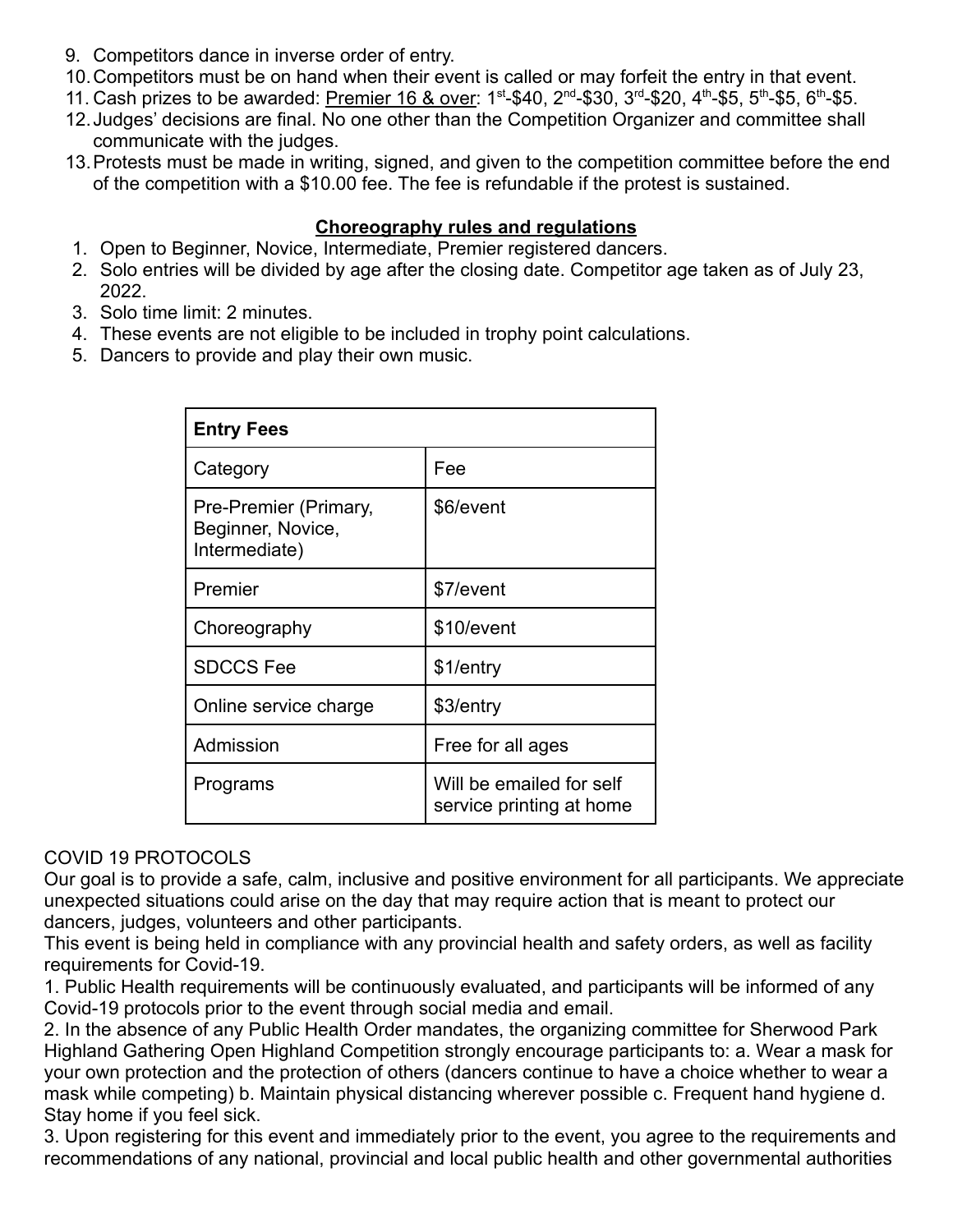- 9. Competitors dance in inverse order of entry.
- 10.Competitors must be on hand when their event is called or may forfeit the entry in that event.
- 11. Cash prizes to be awarded: **Premier 16 & over**:  $1^{st}$ -\$40,  $2^{nd}$ -\$30,  $3^{rd}$ -\$20,  $4^{th}$ -\$5,  $5^{th}$ -\$5,  $6^{th}$ -\$5.
- 12.Judges' decisions are final. No one other than the Competition Organizer and committee shall communicate with the judges.
- 13.Protests must be made in writing, signed, and given to the competition committee before the end of the competition with a \$10.00 fee. The fee is refundable if the protest is sustained.

# **Choreography rules and regulations**

- 1. Open to Beginner, Novice, Intermediate, Premier registered dancers.
- 2. Solo entries will be divided by age after the closing date. Competitor age taken as of July 23, 2022.
- 3. Solo time limit: 2 minutes.
- 4. These events are not eligible to be included in trophy point calculations.
- 5. Dancers to provide and play their own music.

| <b>Entry Fees</b>                                           |                                                      |
|-------------------------------------------------------------|------------------------------------------------------|
| Category                                                    | Fee                                                  |
| Pre-Premier (Primary,<br>Beginner, Novice,<br>Intermediate) | \$6/event                                            |
| Premier                                                     | \$7/event                                            |
| Choreography                                                | \$10/event                                           |
| <b>SDCCS Fee</b>                                            | \$1/entry                                            |
| Online service charge                                       | \$3/entry                                            |
| Admission                                                   | Free for all ages                                    |
| Programs                                                    | Will be emailed for self<br>service printing at home |

# COVID 19 PROTOCOLS

Our goal is to provide a safe, calm, inclusive and positive environment for all participants. We appreciate unexpected situations could arise on the day that may require action that is meant to protect our dancers, judges, volunteers and other participants.

This event is being held in compliance with any provincial health and safety orders, as well as facility requirements for Covid-19.

1. Public Health requirements will be continuously evaluated, and participants will be informed of any Covid-19 protocols prior to the event through social media and email.

2. In the absence of any Public Health Order mandates, the organizing committee for Sherwood Park Highland Gathering Open Highland Competition strongly encourage participants to: a. Wear a mask for your own protection and the protection of others (dancers continue to have a choice whether to wear a mask while competing) b. Maintain physical distancing wherever possible c. Frequent hand hygiene d. Stay home if you feel sick.

3. Upon registering for this event and immediately prior to the event, you agree to the requirements and recommendations of any national, provincial and local public health and other governmental authorities